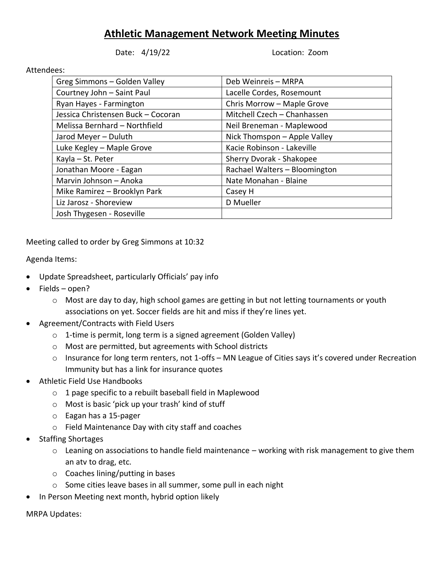## **Athletic Management Network Meeting Minutes**

Date: 4/19/22 Location: Zoom

## Attendees:

| Greg Simmons - Golden Valley       | Deb Weinreis - MRPA           |
|------------------------------------|-------------------------------|
| Courtney John - Saint Paul         | Lacelle Cordes, Rosemount     |
| Ryan Hayes - Farmington            | Chris Morrow - Maple Grove    |
| Jessica Christensen Buck - Cocoran | Mitchell Czech - Chanhassen   |
| Melissa Bernhard - Northfield      | Neil Breneman - Maplewood     |
| Jarod Meyer - Duluth               | Nick Thomspon - Apple Valley  |
| Luke Kegley - Maple Grove          | Kacie Robinson - Lakeville    |
| Kayla - St. Peter                  | Sherry Dvorak - Shakopee      |
| Jonathan Moore - Eagan             | Rachael Walters - Bloomington |
| Marvin Johnson - Anoka             | Nate Monahan - Blaine         |
| Mike Ramirez - Brooklyn Park       | Casey H                       |
| Liz Jarosz - Shoreview             | D Mueller                     |
| Josh Thygesen - Roseville          |                               |

Meeting called to order by Greg Simmons at 10:32

Agenda Items:

- Update Spreadsheet, particularly Officials' pay info
- Fields open?
	- $\circ$  Most are day to day, high school games are getting in but not letting tournaments or youth associations on yet. Soccer fields are hit and miss if they're lines yet.
- Agreement/Contracts with Field Users
	- o 1-time is permit, long term is a signed agreement (Golden Valley)
	- o Most are permitted, but agreements with School districts
	- o Insurance for long term renters, not 1-offs MN League of Cities says it's covered under Recreation Immunity but has a link for insurance quotes
- Athletic Field Use Handbooks
	- o 1 page specific to a rebuilt baseball field in Maplewood
	- o Most is basic 'pick up your trash' kind of stuff
	- o Eagan has a 15-pager
	- o Field Maintenance Day with city staff and coaches
- Staffing Shortages
	- o Leaning on associations to handle field maintenance working with risk management to give them an atv to drag, etc.
	- o Coaches lining/putting in bases
	- o Some cities leave bases in all summer, some pull in each night
	- In Person Meeting next month, hybrid option likely

MRPA Updates: